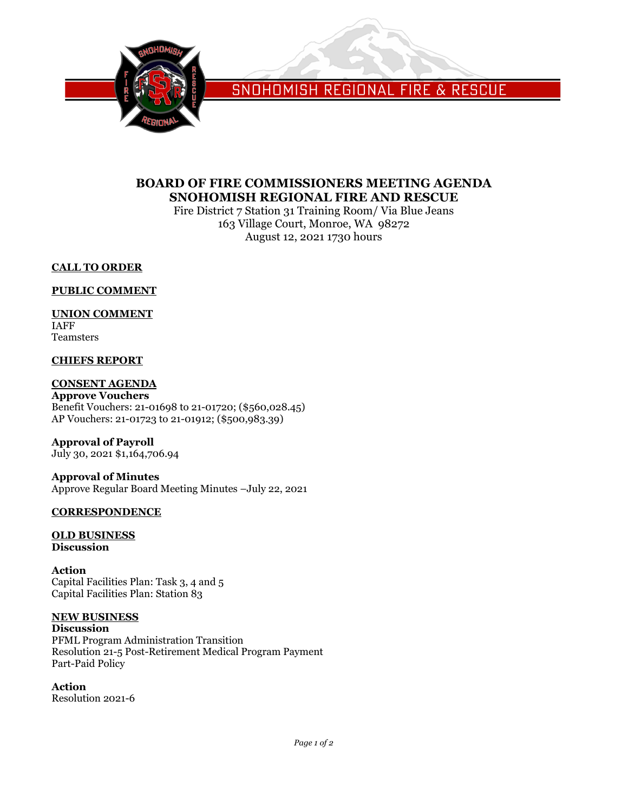

SNOHOMISH REGIONAL FIRE & RESCUE

# **BOARD OF FIRE COMMISSIONERS MEETING AGENDA SNOHOMISH REGIONAL FIRE AND RESCUE**

Fire District 7 Station 31 Training Room/ Via Blue Jeans 163 Village Court, Monroe, WA 98272 August 12, 2021 1730 hours

## **CALL TO ORDER**

## **PUBLIC COMMENT**

## **UNION COMMENT**

IAFF Teamsters

# **CHIEFS REPORT**

# **CONSENT AGENDA**

**Approve Vouchers** Benefit Vouchers: 21-01698 to 21-01720; (\$560,028.45) AP Vouchers: 21-01723 to 21-01912; (\$500,983.39)

**Approval of Payroll**

July 30, 2021 \$1,164,706.94

# **Approval of Minutes**

Approve Regular Board Meeting Minutes –July 22, 2021

## **CORRESPONDENCE**

#### **OLD BUSINESS Discussion**

**Action** Capital Facilities Plan: Task 3, 4 and 5 Capital Facilities Plan: Station 83

## **NEW BUSINESS**

**Discussion** PFML Program Administration Transition Resolution 21-5 Post-Retirement Medical Program Payment Part-Paid Policy

## **Action**

Resolution 2021-6